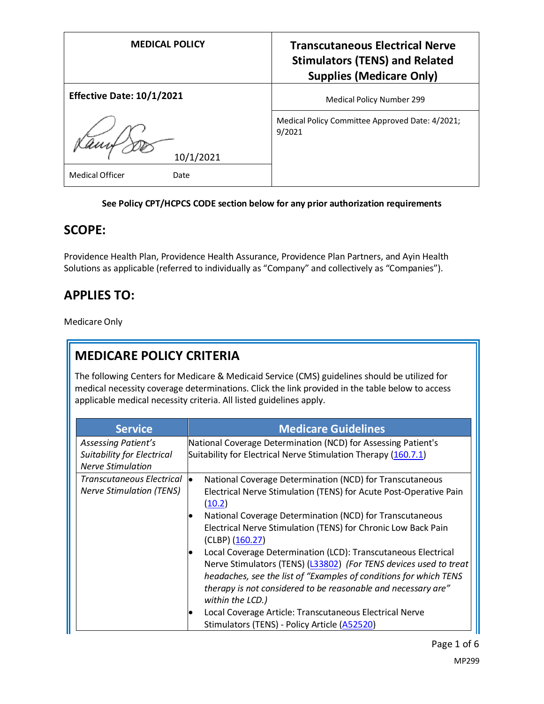| <b>MEDICAL POLICY</b>            | <b>Transcutaneous Electrical Nerve</b><br><b>Stimulators (TENS) and Related</b><br><b>Supplies (Medicare Only)</b> |
|----------------------------------|--------------------------------------------------------------------------------------------------------------------|
| <b>Effective Date: 10/1/2021</b> | <b>Medical Policy Number 299</b>                                                                                   |
| 10/1/2021                        | Medical Policy Committee Approved Date: 4/2021;<br>9/2021                                                          |
| <b>Medical Officer</b><br>Date   |                                                                                                                    |

## **See Policy CPT/HCPCS CODE section below for any prior authorization requirements**

# **SCOPE:**

Providence Health Plan, Providence Health Assurance, Providence Plan Partners, and Ayin Health Solutions as applicable (referred to individually as "Company" and collectively as "Companies").

# **APPLIES TO:**

Medicare Only

# **MEDICARE POLICY CRITERIA**

The following Centers for Medicare & Medicaid Service (CMS) guidelines should be utilized for medical necessity coverage determinations. Click the link provided in the table below to access applicable medical necessity criteria. All listed guidelines apply.

| <b>Service</b>                                                                       | <b>Medicare Guidelines</b>                                                                                                                                                                                                                                                                                                                                                                                                                                                                                                                                                                                                                                                                                |
|--------------------------------------------------------------------------------------|-----------------------------------------------------------------------------------------------------------------------------------------------------------------------------------------------------------------------------------------------------------------------------------------------------------------------------------------------------------------------------------------------------------------------------------------------------------------------------------------------------------------------------------------------------------------------------------------------------------------------------------------------------------------------------------------------------------|
| Assessing Patient's<br><b>Suitability for Electrical</b><br><b>Nerve Stimulation</b> | National Coverage Determination (NCD) for Assessing Patient's<br>Suitability for Electrical Nerve Stimulation Therapy (160.7.1)                                                                                                                                                                                                                                                                                                                                                                                                                                                                                                                                                                           |
| Transcutaneous Electrical<br><b>Nerve Stimulation (TENS)</b>                         | National Coverage Determination (NCD) for Transcutaneous<br>lo.<br>Electrical Nerve Stimulation (TENS) for Acute Post-Operative Pain<br>(10.2)<br>National Coverage Determination (NCD) for Transcutaneous<br>Electrical Nerve Stimulation (TENS) for Chronic Low Back Pain<br>(CLBP) (160.27)<br>Local Coverage Determination (LCD): Transcutaneous Electrical<br>Nerve Stimulators (TENS) (L33802) (For TENS devices used to treat<br>headaches, see the list of "Examples of conditions for which TENS<br>therapy is not considered to be reasonable and necessary are"<br>within the LCD.)<br>Local Coverage Article: Transcutaneous Electrical Nerve<br>Stimulators (TENS) - Policy Article (A52520) |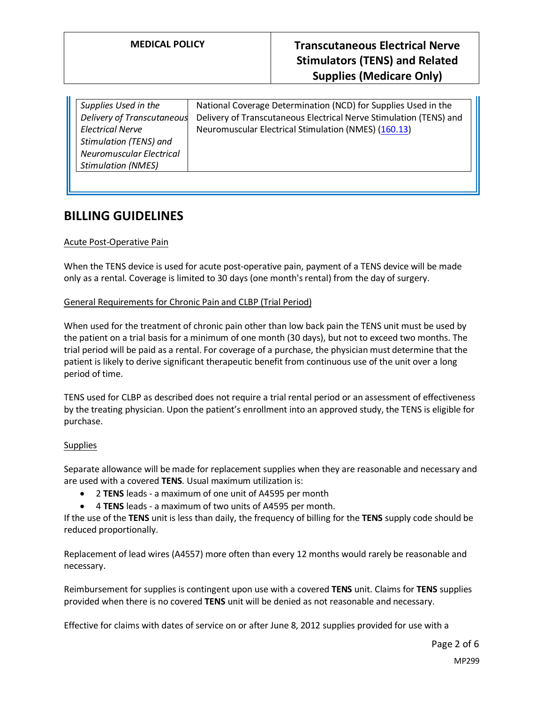| Supplies Used in the            | National Coverage Determination (NCD) for Supplies Used in the     |
|---------------------------------|--------------------------------------------------------------------|
| Delivery of Transcutaneous      | Delivery of Transcutaneous Electrical Nerve Stimulation (TENS) and |
| <b>Electrical Nerve</b>         | Neuromuscular Electrical Stimulation (NMES) (160.13)               |
| <b>Stimulation (TENS) and</b>   |                                                                    |
| <b>Neuromuscular Electrical</b> |                                                                    |
| <b>Stimulation (NMES)</b>       |                                                                    |
|                                 |                                                                    |

# **BILLING GUIDELINES**

## Acute Post-Operative Pain

When the TENS device is used for acute post-operative pain, payment of a TENS device will be made only as a rental. Coverage is limited to 30 days (one month's rental) from the day of surgery.

## General Requirements for Chronic Pain and CLBP (Trial Period)

When used for the treatment of chronic pain other than low back pain the TENS unit must be used by the patient on a trial basis for a minimum of one month (30 days), but not to exceed two months. The trial period will be paid as a rental. For coverage of a purchase, the physician must determine that the patient is likely to derive significant therapeutic benefit from continuous use of the unit over a long period of time.

TENS used for CLBP as described does not require a trial rental period or an assessment of effectiveness by the treating physician. Upon the patient's enrollment into an approved study, the TENS is eligible for purchase.

## **Supplies**

Separate allowance will be made for replacement supplies when they are reasonable and necessary and are used with a covered **TENS**. Usual maximum utilization is:

- 2 **TENS** leads a maximum of one unit of A4595 per month
- 4 **TENS** leads a maximum of two units of A4595 per month.

If the use of the **TENS** unit is less than daily, the frequency of billing for the **TENS** supply code should be reduced proportionally.

Replacement of lead wires (A4557) more often than every 12 months would rarely be reasonable and necessary.

Reimbursement for supplies is contingent upon use with a covered **TENS** unit. Claims for **TENS** supplies provided when there is no covered **TENS** unit will be denied as not reasonable and necessary.

Effective for claims with dates of service on or after June 8, 2012 supplies provided for use with a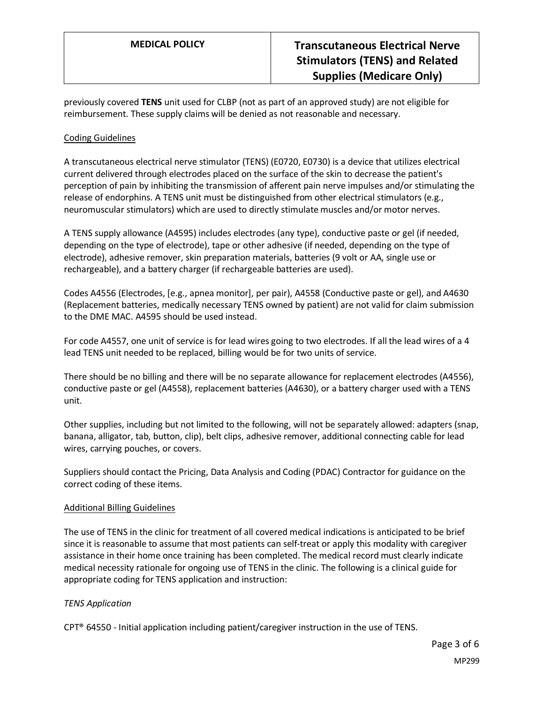previously covered **TENS** unit used for CLBP (not as part of an approved study) are not eligible for reimbursement. These supply claims will be denied as not reasonable and necessary.

## Coding Guidelines

A transcutaneous electrical nerve stimulator (TENS) (E0720, E0730) is a device that utilizes electrical current delivered through electrodes placed on the surface of the skin to decrease the patient's perception of pain by inhibiting the transmission of afferent pain nerve impulses and/or stimulating the release of endorphins. A TENS unit must be distinguished from other electrical stimulators (e.g., neuromuscular stimulators) which are used to directly stimulate muscles and/or motor nerves.

A TENS supply allowance (A4595) includes electrodes (any type), conductive paste or gel (if needed, depending on the type of electrode), tape or other adhesive (if needed, depending on the type of electrode), adhesive remover, skin preparation materials, batteries (9 volt or AA, single use or rechargeable), and a battery charger (if rechargeable batteries are used).

Codes A4556 (Electrodes, [e.g., apnea monitor], per pair), A4558 (Conductive paste or gel), and A4630 (Replacement batteries, medically necessary TENS owned by patient) are not valid for claim submission to the DME MAC. A4595 should be used instead.

For code A4557, one unit of service is for lead wires going to two electrodes. If all the lead wires of a 4 lead TENS unit needed to be replaced, billing would be for two units of service.

There should be no billing and there will be no separate allowance for replacement electrodes (A4556), conductive paste or gel (A4558), replacement batteries (A4630), or a battery charger used with a TENS unit.

Other supplies, including but not limited to the following, will not be separately allowed: adapters (snap, banana, alligator, tab, button, clip), belt clips, adhesive remover, additional connecting cable for lead wires, carrying pouches, or covers.

Suppliers should contact the Pricing, Data Analysis and Coding (PDAC) Contractor for guidance on the correct coding of these items.

## Additional Billing Guidelines

The use of TENS in the clinic for treatment of all covered medical indications is anticipated to be brief since it is reasonable to assume that most patients can self-treat or apply this modality with caregiver assistance in their home once training has been completed. The medical record must clearly indicate medical necessity rationale for ongoing use of TENS in the clinic. The following is a clinical guide for appropriate coding for TENS application and instruction:

## *TENS Application*

CPT® 64550 - Initial application including patient/caregiver instruction in the use of TENS.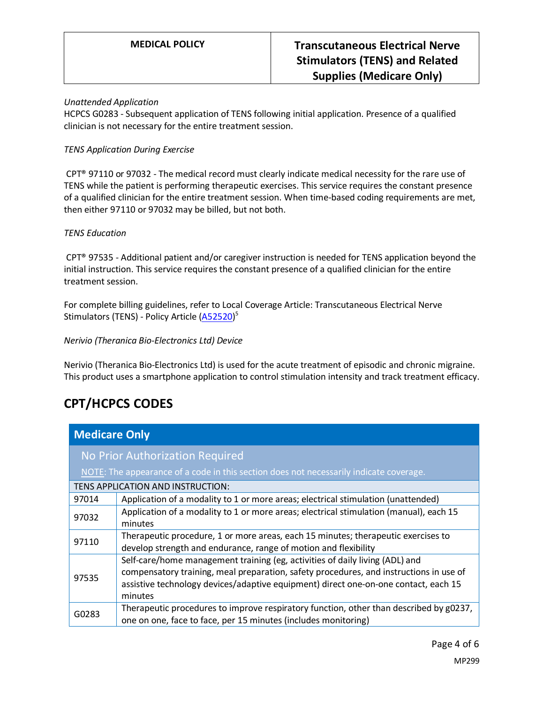## *Unattended Application*

HCPCS G0283 - Subsequent application of TENS following initial application. Presence of a qualified clinician is not necessary for the entire treatment session.

## *TENS Application During Exercise*

CPT® 97110 or 97032 - The medical record must clearly indicate medical necessity for the rare use of TENS while the patient is performing therapeutic exercises. This service requires the constant presence of a qualified clinician for the entire treatment session. When time-based coding requirements are met, then either 97110 or 97032 may be billed, but not both.

## *TENS Education*

CPT® 97535 - Additional patient and/or caregiver instruction is needed for TENS application beyond the initial instruction. This service requires the constant presence of a qualified clinician for the entire treatment session.

For complete billing guidelines, refer to Local Coverage Article: Transcutaneous Electrical Nerve Stimulators (TENS) - Policy Article (<u>A52520</u>)<sup>5</sup>

## *Nerivio (Theranica Bio-Electronics Ltd) Device*

Nerivio (Theranica Bio-Electronics Ltd) is used for the acute treatment of episodic and chronic migraine. This product uses a smartphone application to control stimulation intensity and track treatment efficacy.

# **CPT/HCPCS CODES**

| <b>Medicare Only</b>                                                                   |                                                                                                                                                                                                                                                                          |  |
|----------------------------------------------------------------------------------------|--------------------------------------------------------------------------------------------------------------------------------------------------------------------------------------------------------------------------------------------------------------------------|--|
| No Prior Authorization Required                                                        |                                                                                                                                                                                                                                                                          |  |
| NOTE: The appearance of a code in this section does not necessarily indicate coverage. |                                                                                                                                                                                                                                                                          |  |
| TENS APPLICATION AND INSTRUCTION:                                                      |                                                                                                                                                                                                                                                                          |  |
| 97014                                                                                  | Application of a modality to 1 or more areas; electrical stimulation (unattended)                                                                                                                                                                                        |  |
| 97032                                                                                  | Application of a modality to 1 or more areas; electrical stimulation (manual), each 15<br>minutes                                                                                                                                                                        |  |
| 97110                                                                                  | Therapeutic procedure, 1 or more areas, each 15 minutes; therapeutic exercises to<br>develop strength and endurance, range of motion and flexibility                                                                                                                     |  |
| 97535                                                                                  | Self-care/home management training (eg, activities of daily living (ADL) and<br>compensatory training, meal preparation, safety procedures, and instructions in use of<br>assistive technology devices/adaptive equipment) direct one-on-one contact, each 15<br>minutes |  |
| G0283                                                                                  | Therapeutic procedures to improve respiratory function, other than described by g0237,<br>one on one, face to face, per 15 minutes (includes monitoring)                                                                                                                 |  |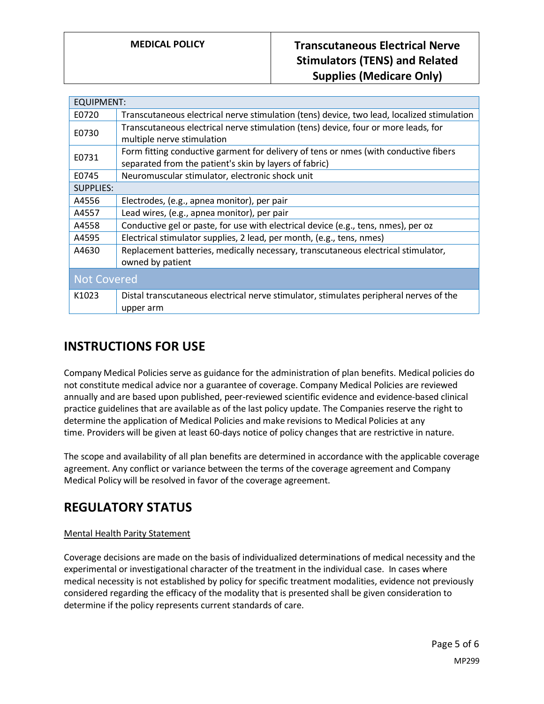| <b>EQUIPMENT:</b>  |                                                                                                                                                |
|--------------------|------------------------------------------------------------------------------------------------------------------------------------------------|
| E0720              | Transcutaneous electrical nerve stimulation (tens) device, two lead, localized stimulation                                                     |
| E0730              | Transcutaneous electrical nerve stimulation (tens) device, four or more leads, for<br>multiple nerve stimulation                               |
| E0731              | Form fitting conductive garment for delivery of tens or nmes (with conductive fibers<br>separated from the patient's skin by layers of fabric) |
| E0745              | Neuromuscular stimulator, electronic shock unit                                                                                                |
| <b>SUPPLIES:</b>   |                                                                                                                                                |
| A4556              | Electrodes, (e.g., apnea monitor), per pair                                                                                                    |
| A4557              | Lead wires, (e.g., apnea monitor), per pair                                                                                                    |
| A4558              | Conductive gel or paste, for use with electrical device (e.g., tens, nmes), per oz                                                             |
| A4595              | Electrical stimulator supplies, 2 lead, per month, (e.g., tens, nmes)                                                                          |
| A4630              | Replacement batteries, medically necessary, transcutaneous electrical stimulator,<br>owned by patient                                          |
| <b>Not Covered</b> |                                                                                                                                                |
| K1023              | Distal transcutaneous electrical nerve stimulator, stimulates peripheral nerves of the                                                         |
|                    | upper arm                                                                                                                                      |

# **INSTRUCTIONS FOR USE**

Company Medical Policies serve as guidance for the administration of plan benefits. Medical policies do not constitute medical advice nor a guarantee of coverage. Company Medical Policies are reviewed annually and are based upon published, peer-reviewed scientific evidence and evidence-based clinical practice guidelines that are available as of the last policy update. The Companies reserve the right to determine the application of Medical Policies and make revisions to Medical Policies at any time. Providers will be given at least 60-days notice of policy changes that are restrictive in nature.

The scope and availability of all plan benefits are determined in accordance with the applicable coverage agreement. Any conflict or variance between the terms of the coverage agreement and Company Medical Policy will be resolved in favor of the coverage agreement.

# **REGULATORY STATUS**

## Mental Health Parity Statement

Coverage decisions are made on the basis of individualized determinations of medical necessity and the experimental or investigational character of the treatment in the individual case. In cases where medical necessity is not established by policy for specific treatment modalities, evidence not previously considered regarding the efficacy of the modality that is presented shall be given consideration to determine if the policy represents current standards of care.